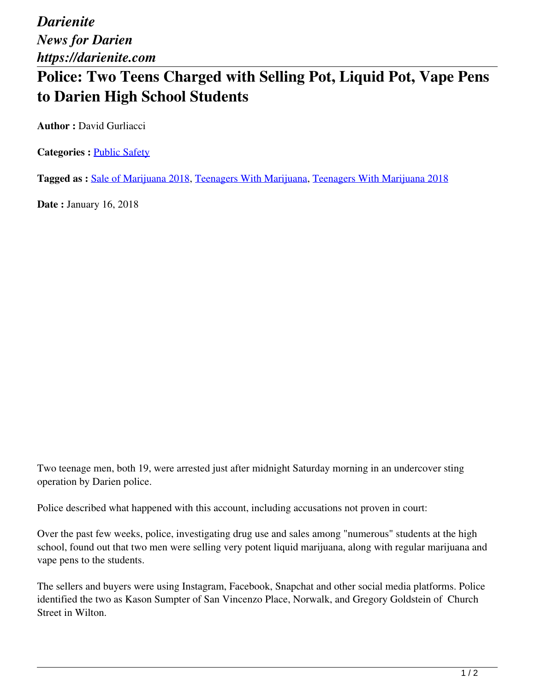*Darienite News for Darien https://darienite.com*

## **Police: Two Teens Charged with Selling Pot, Liquid Pot, Vape Pens to Darien High School Students**

**Author :** David Gurliacci

**Categories :** [Public Safety](https://darienite.com/category/news/police-fire)

**Tagged as :** Sale of Marijuana 2018, Teenagers With Marijuana, Teenagers With Marijuana 2018

**Date : January 16, 2018** 

Two teenage men, both 19, were arrested just after midnight Saturday morning in an undercover sting operation by Darien police.

Police described what happened with this account, including accusations not proven in court:

Over the past few weeks, police, investigating drug use and sales among "numerous" students at the high school, found out that two men were selling very potent liquid marijuana, along with regular marijuana and vape pens to the students.

The sellers and buyers were using Instagram, Facebook, Snapchat and other social media platforms. Police identified the two as Kason Sumpter of San Vincenzo Place, Norwalk, and Gregory Goldstein of Church Street in Wilton.